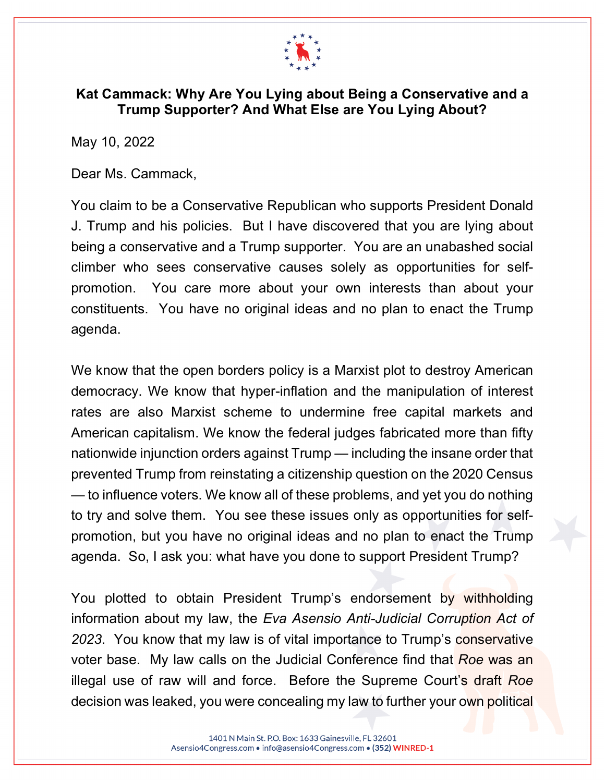

## **Kat Cammack: Why Are You Lying about Being a Conservative and a Trump Supporter? And What Else are You Lying About?**

May 10, 2022

Dear Ms. Cammack,

You claim to be a Conservative Republican who supports President Donald J. Trump and his policies. But I have discovered that you are lying about being a conservative and a Trump supporter. You are an unabashed social climber who sees conservative causes solely as opportunities for selfpromotion. You care more about your own interests than about your constituents. You have no original ideas and no plan to enact the Trump agenda.

We know that the open borders policy is a Marxist plot to destroy American democracy. We know that hyper-inflation and the manipulation of interest rates are also Marxist scheme to undermine free capital markets and American capitalism. We know the federal judges fabricated more than fifty nationwide injunction orders against Trump — including the insane order that prevented Trump from reinstating a citizenship question on the 2020 Census — to influence voters. We know all of these problems, and yet you do nothing to try and solve them. You see these issues only as opportunities for selfpromotion, but you have no original ideas and no plan to enact the Trump agenda. So, I ask you: what have you done to support President Trump?

You plotted to obtain President Trump's endorsement by withholding information about my law, the *Eva Asensio Anti-Judicial Corruption Act of 2023*. You know that my law is of vital importance to Trump's conservative voter base. My law calls on the Judicial Conference find that *Roe* was an illegal use of raw will and force. Before the Supreme Court's draft *Roe* decision was leaked, you were concealing my law to further your own political